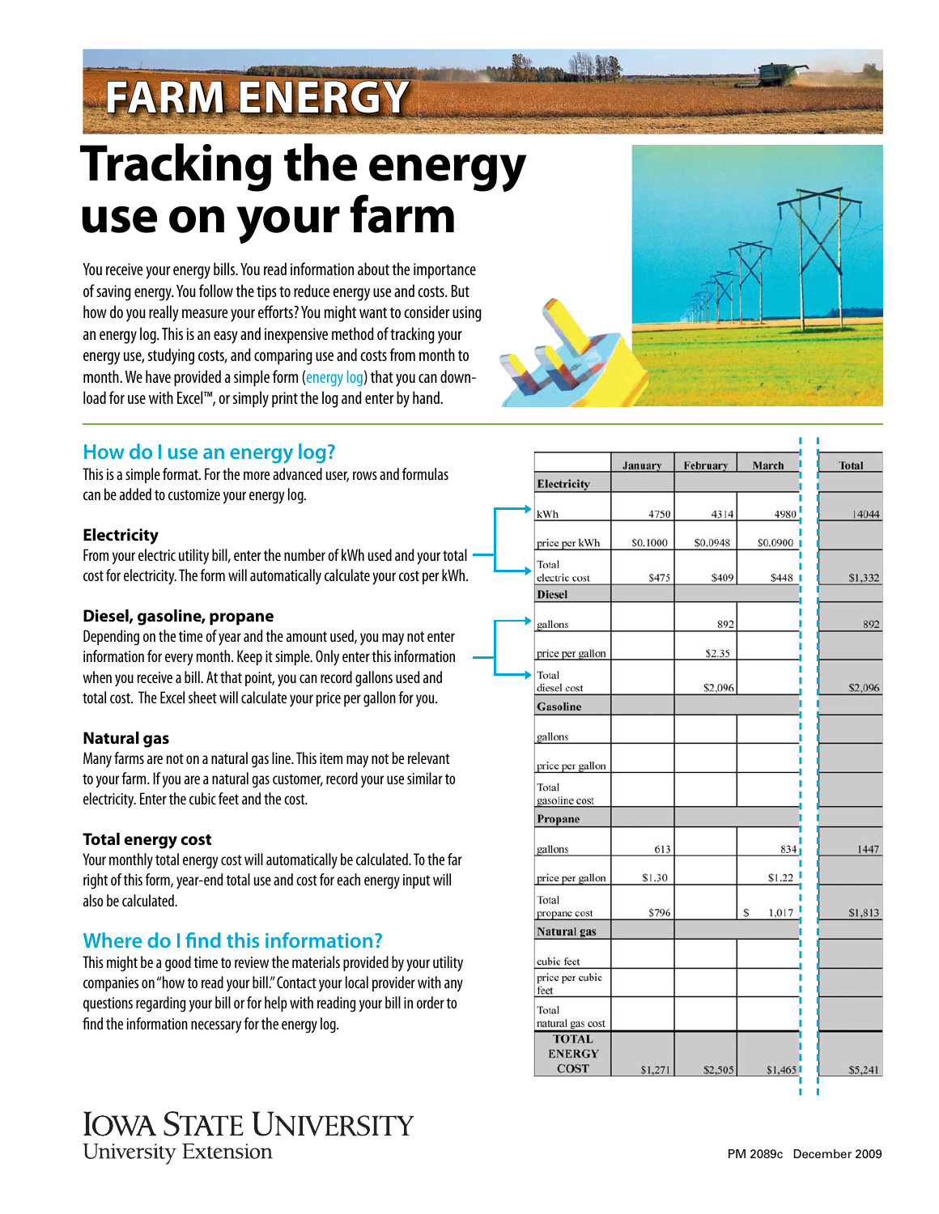# **FARM ENERGY**

# **Tracking the energy use on your farm**

You receive your energy bills. You read information about the importance of saving energy. You follow the tips to reduce energy use and costs. But how do you really measure your efforts? You might want to consider using an energy log. This is an easy and inexpensive method of tracking your energy use, studying costs, and comparing use and costs from month to month. We have provided a simple form [\(energy log\) t](http://www.extension.iastate.edu/publications/ISUE_energy_log.xls)hat you can download for use with Excel™, or simply print the log and enter by hand.



# **How do I use an energy log?**

This is a simple format. For the more advanced user, rows and formulas can be added to customize your energy log.

# **Electricity**

From your electric utility bill, enter the number of kWh used and your total cost for electricity. The form will automatically calculate your cost per kWh.

# **Diesel, gasoline, propane**

Depending on the time of year and the amount used, you may not enter information for every month. Keep it simple. Only enter this information when you receive a bill. At that point, you can record gallons used and total cost. The Excel sheet will calculate your price per gallon for you.

# **Natural gas**

Many farms are not on a natural gas line. This item may not be relevant to your farm. If you are a natural gas customer, record your use similar to electricity. Enter the cubic feet and the cost.

### **Total energy cost**

Your monthly total energy cost will automatically be calculated. To the far right of this form, year-end total use and cost for each energy input will also be calculated.

# **Where do I find this information?**

This might be a good time to review the materials provided by your utility companies on "how to read your bill." Contact your local provider with any questions regarding your bill or for help with reading your bill in order to find the information necessary for the energy log.